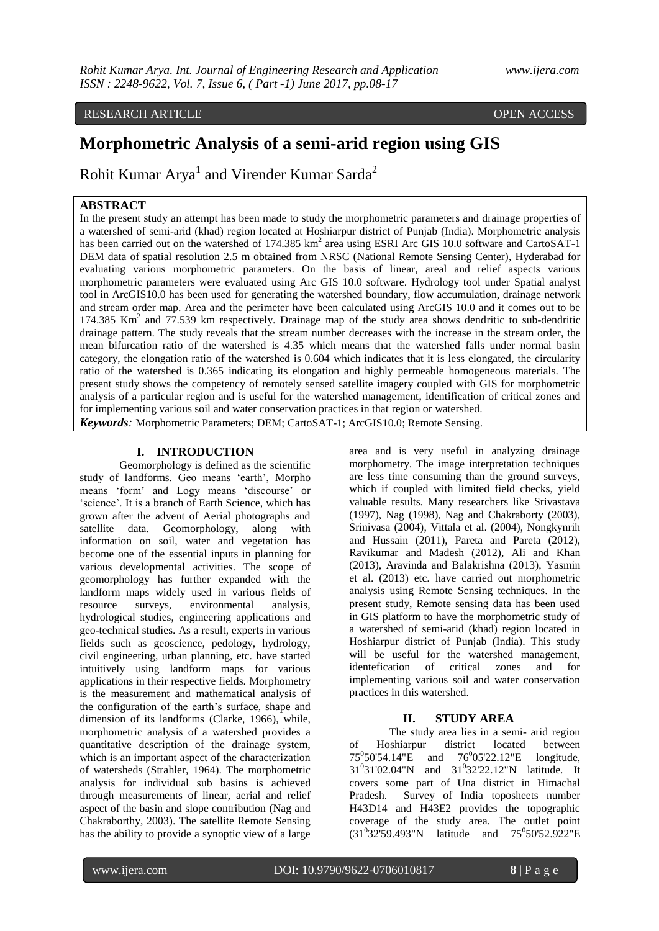# **Morphometric Analysis of a semi-arid region using GIS**

Rohit Kumar Arya<sup>1</sup> and Virender Kumar Sarda<sup>2</sup>

# **ABSTRACT**

In the present study an attempt has been made to study the morphometric parameters and drainage properties of a watershed of semi-arid (khad) region located at Hoshiarpur district of Punjab (India). Morphometric analysis has been carried out on the watershed of 174.385 km<sup>2</sup> area using ESRI Arc GIS 10.0 software and CartoSAT-1 DEM data of spatial resolution 2.5 m obtained from NRSC (National Remote Sensing Center), Hyderabad for evaluating various morphometric parameters. On the basis of linear, areal and relief aspects various morphometric parameters were evaluated using Arc GIS 10.0 software. Hydrology tool under Spatial analyst tool in ArcGIS10.0 has been used for generating the watershed boundary, flow accumulation, drainage network and stream order map. Area and the perimeter have been calculated using ArcGIS 10.0 and it comes out to be 174.385 Km<sup>2</sup> and 77.539 km respectively. Drainage map of the study area shows dendritic to sub-dendritic drainage pattern. The study reveals that the stream number decreases with the increase in the stream order, the mean bifurcation ratio of the watershed is 4.35 which means that the watershed falls under normal basin category, the elongation ratio of the watershed is 0.604 which indicates that it is less elongated, the circularity ratio of the watershed is 0.365 indicating its elongation and highly permeable homogeneous materials. The present study shows the competency of remotely sensed satellite imagery coupled with GIS for morphometric analysis of a particular region and is useful for the watershed management, identification of critical zones and for implementing various soil and water conservation practices in that region or watershed. *Keywords:* Morphometric Parameters; DEM; CartoSAT-1; ArcGIS10.0; Remote Sensing.

## **I. INTRODUCTION**

Geomorphology is defined as the scientific study of landforms. Geo means 'earth', Morpho means 'form' and Logy means 'discourse' or 'science'. It is a branch of Earth Science, which has grown after the advent of Aerial photographs and satellite data. Geomorphology, along with information on soil, water and vegetation has become one of the essential inputs in planning for various developmental activities. The scope of geomorphology has further expanded with the landform maps widely used in various fields of resource surveys, environmental analysis, hydrological studies, engineering applications and geo-technical studies. As a result, experts in various fields such as geoscience, pedology, hydrology, civil engineering, urban planning, etc. have started intuitively using landform maps for various applications in their respective fields. Morphometry is the measurement and mathematical analysis of the configuration of the earth's surface, shape and dimension of its landforms (Clarke, 1966), while, morphometric analysis of a watershed provides a quantitative description of the drainage system, which is an important aspect of the characterization of watersheds (Strahler, 1964). The morphometric analysis for individual sub basins is achieved through measurements of linear, aerial and relief aspect of the basin and slope contribution (Nag and Chakraborthy, 2003). The satellite Remote Sensing has the ability to provide a synoptic view of a large

area and is very useful in analyzing drainage morphometry. The image interpretation techniques are less time consuming than the ground surveys, which if coupled with limited field checks, yield valuable results. Many researchers like Srivastava (1997), Nag (1998), Nag and Chakraborty (2003), Srinivasa (2004), Vittala et al. (2004), Nongkynrih and Hussain (2011), Pareta and Pareta (2012), Ravikumar and Madesh (2012), Ali and Khan (2013), Aravinda and Balakrishna (2013), Yasmin et al. (2013) etc. have carried out morphometric analysis using Remote Sensing techniques. In the present study, Remote sensing data has been used in GIS platform to have the morphometric study of a watershed of semi-arid (khad) region located in Hoshiarpur district of Punjab (India). This study will be useful for the watershed management, identefication of critical zones and for implementing various soil and water conservation practices in this watershed.

# **II. STUDY AREA**

The study area lies in a semi- arid region of Hoshiarpur district located between  $75^{\circ}50'54.14"E$  and  $76^{\circ}05'22.12"E$  longitude, 31<sup>0</sup>31'02.04"N and 31<sup>0</sup>32'22.12"N latitude. It covers some part of Una district in Himachal Pradesh. Survey of India toposheets number H43D14 and H43E2 provides the topographic coverage of the study area. The outlet point  $(31^{0}32^{0}59.493"$ N latitude and  $75^{0}50'52.922"$ E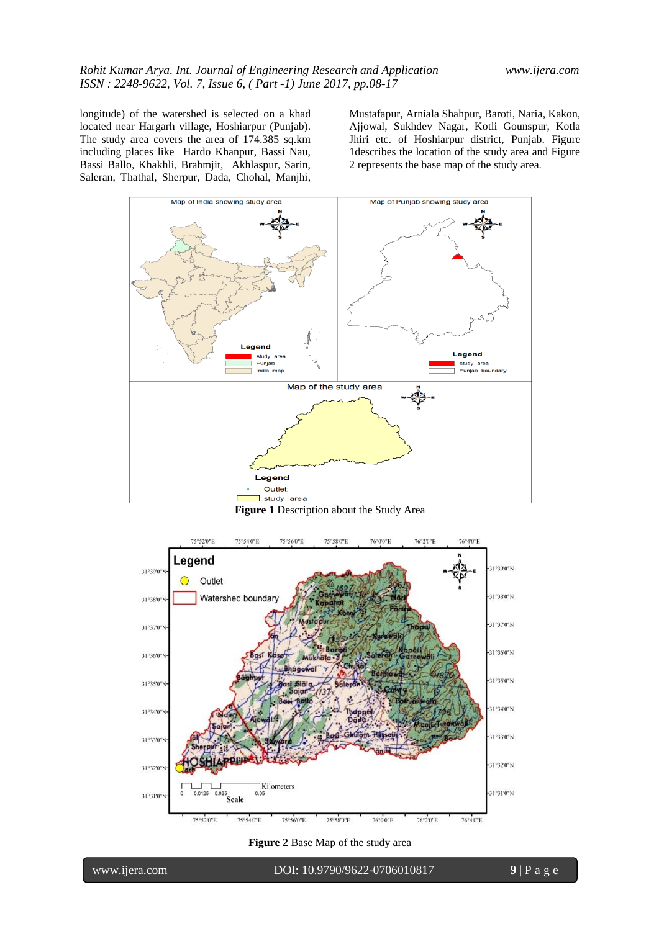longitude) of the watershed is selected on a khad located near Hargarh village, Hoshiarpur (Punjab). The study area covers the area of 174.385 sq.km including places like Hardo Khanpur, Bassi Nau, Bassi Ballo, Khakhli, Brahmjit, Akhlaspur, Sarin, Saleran, Thathal, Sherpur, Dada, Chohal, Manjhi, Mustafapur, Arniala Shahpur, Baroti, Naria, Kakon, Ajjowal, Sukhdev Nagar, Kotli Gounspur, Kotla Jhiri etc. of Hoshiarpur district, Punjab. Figure 1describes the location of the study area and Figure 2 represents the base map of the study area.



**Figure 1** Description about the Study Area



**Figure 2** Base Map of the study area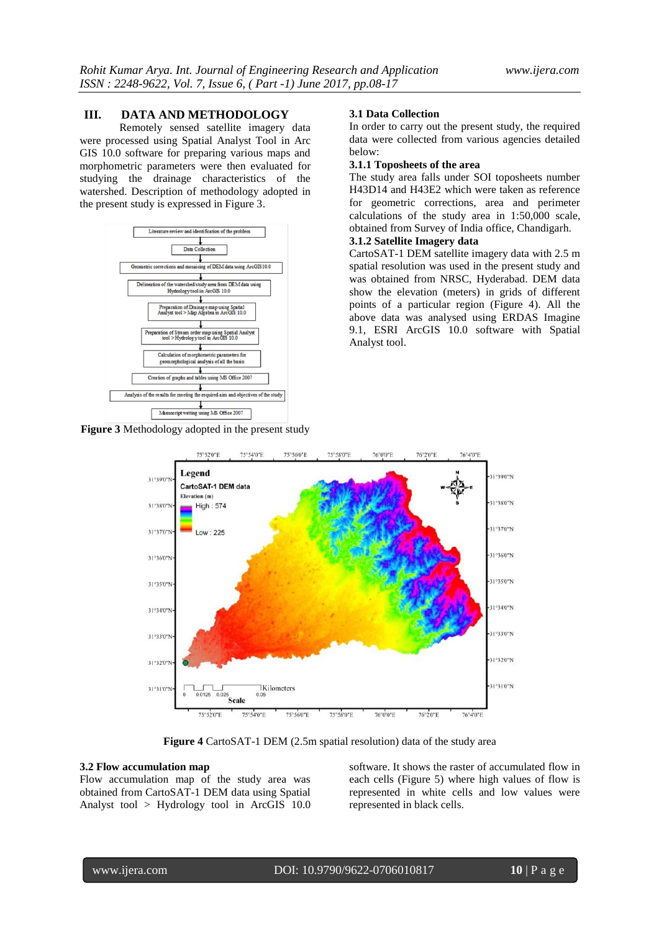## **III. DATA AND METHODOLOGY**

Remotely sensed satellite imagery data were processed using Spatial Analyst Tool in Arc GIS 10.0 software for preparing various maps and morphometric parameters were then evaluated for studying the drainage characteristics of the watershed. Description of methodology adopted in the present study is expressed in Figure 3.



**Figure 3** Methodology adopted in the present study

#### **3.1 Data Collection**

In order to carry out the present study, the required data were collected from various agencies detailed below:

#### **3.1.1 Toposheets of the area**

The study area falls under SOI toposheets number H43D14 and H43E2 which were taken as reference for geometric corrections, area and perimeter calculations of the study area in 1:50,000 scale, obtained from Survey of India office, Chandigarh.

## **3.1.2 Satellite Imagery data**

CartoSAT-1 DEM satellite imagery data with 2.5 m spatial resolution was used in the present study and was obtained from NRSC, Hyderabad. DEM data show the elevation (meters) in grids of different points of a particular region (Figure 4). All the above data was analysed using ERDAS Imagine 9.1, ESRI ArcGIS 10.0 software with Spatial Analyst tool.



**Figure 4** CartoSAT-1 DEM (2.5m spatial resolution) data of the study area

## **3.2 Flow accumulation map**

Flow accumulation map of the study area was obtained from CartoSAT-1 DEM data using Spatial Analyst tool > Hydrology tool in ArcGIS 10.0 software. It shows the raster of accumulated flow in each cells (Figure 5) where high values of flow is represented in white cells and low values were represented in black cells.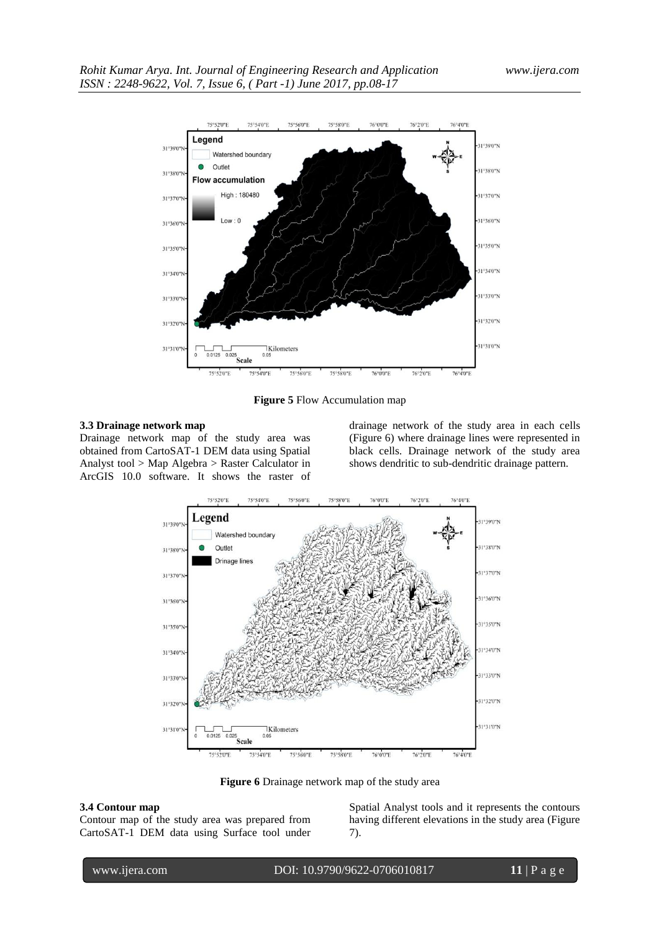

**Figure 5** Flow Accumulation map

#### **3.3 Drainage network map**

Drainage network map of the study area was obtained from CartoSAT-1 DEM data using Spatial Analyst tool > Map Algebra > Raster Calculator in ArcGIS 10.0 software. It shows the raster of

drainage network of the study area in each cells (Figure 6) where drainage lines were represented in black cells. Drainage network of the study area shows dendritic to sub-dendritic drainage pattern.



**Figure 6** Drainage network map of the study area

#### **3.4 Contour map**

Contour map of the study area was prepared from CartoSAT-1 DEM data using Surface tool under Spatial Analyst tools and it represents the contours having different elevations in the study area (Figure 7).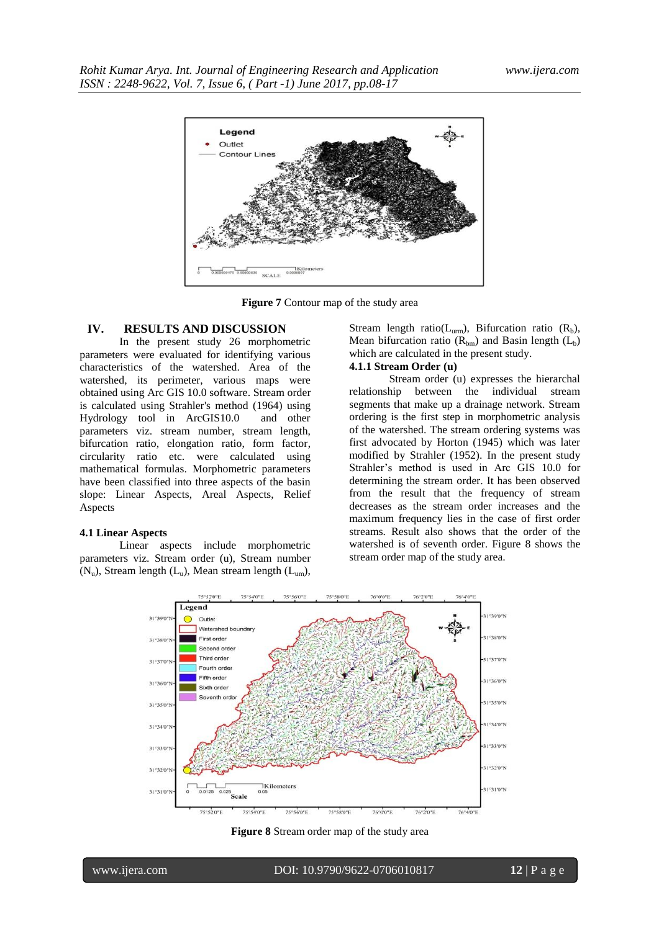

**Figure 7** Contour map of the study area

## **IV. RESULTS AND DISCUSSION**

In the present study 26 morphometric parameters were evaluated for identifying various characteristics of the watershed. Area of the watershed, its perimeter, various maps were obtained using Arc GIS 10.0 software. Stream order is calculated using Strahler's method (1964) using Hydrology tool in ArcGIS10.0 and other parameters viz. stream number, stream length, bifurcation ratio, elongation ratio, form factor, circularity ratio etc. were calculated using mathematical formulas. Morphometric parameters have been classified into three aspects of the basin slope: Linear Aspects, Areal Aspects, Relief Aspects

#### **4.1 Linear Aspects**

Linear aspects include morphometric parameters viz. Stream order (u), Stream number  $(N_u)$ , Stream length  $(L_u)$ , Mean stream length  $(L_{um})$ ,

Stream length ratio( $L_{\text{urm}}$ ), Bifurcation ratio ( $R_{\text{b}}$ ), Mean bifurcation ratio  $(R_{bm})$  and Basin length  $(L_b)$ which are calculated in the present study.

## **4.1.1 Stream Order (u)**

Stream order (u) expresses the hierarchal relationship between the individual stream segments that make up a drainage network. Stream ordering is the first step in morphometric analysis of the watershed. The stream ordering systems was first advocated by Horton (1945) which was later modified by Strahler (1952). In the present study Strahler's method is used in Arc GIS 10.0 for determining the stream order. It has been observed from the result that the frequency of stream decreases as the stream order increases and the maximum frequency lies in the case of first order streams. Result also shows that the order of the watershed is of seventh order. Figure 8 shows the stream order map of the study area.



**Figure 8** Stream order map of the study area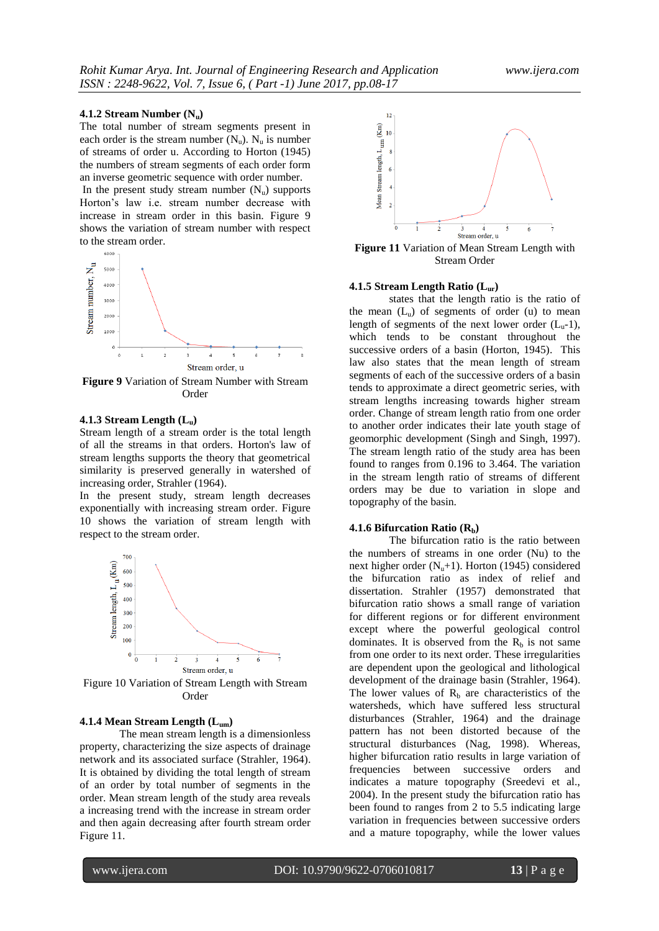#### **4.1.2 Stream Number (Nu)**

The total number of stream segments present in each order is the stream number  $(N_u)$ .  $N_u$  is number of streams of order u. According to Horton (1945) the numbers of stream segments of each order form an inverse geometric sequence with order number.

In the present study stream number  $(N_u)$  supports Horton's law i.e. stream number decrease with increase in stream order in this basin. Figure 9 shows the variation of stream number with respect to the stream order.



**Figure 9** Variation of Stream Number with Stream Order

## **4.1.3 Stream Length (Lu)**

Stream length of a stream order is the total length of all the streams in that orders. Horton's law of stream lengths supports the theory that geometrical similarity is preserved generally in watershed of increasing order, Strahler (1964).

In the present study, stream length decreases exponentially with increasing stream order. Figure 10 shows the variation of stream length with respect to the stream order.



Figure 10 Variation of Stream Length with Stream Order

#### **4.1.4 Mean Stream Length (Lum)**

The mean stream length is a dimensionless property, characterizing the size aspects of drainage network and its associated surface (Strahler, 1964). It is obtained by dividing the total length of stream of an order by total number of segments in the order. Mean stream length of the study area reveals a increasing trend with the increase in stream order and then again decreasing after fourth stream order Figure 11.



**Figure 11** Variation of Mean Stream Length with Stream Order

# **4.1.5 Stream Length Ratio (Lur)**

states that the length ratio is the ratio of the mean  $(L<sub>u</sub>)$  of segments of order (u) to mean length of segments of the next lower order  $(L<sub>u</sub>-1)$ , which tends to be constant throughout the successive orders of a basin (Horton, 1945). This law also states that the mean length of stream segments of each of the successive orders of a basin tends to approximate a direct geometric series, with stream lengths increasing towards higher stream order. Change of stream length ratio from one order to another order indicates their late youth stage of geomorphic development (Singh and Singh, 1997). The stream length ratio of the study area has been found to ranges from 0.196 to 3.464. The variation in the stream length ratio of streams of different orders may be due to variation in slope and topography of the basin.

## **4.1.6 Bifurcation Ratio (Rb)**

The bifurcation ratio is the ratio between the numbers of streams in one order (Nu) to the next higher order  $(N<sub>u</sub>+1)$ . Horton (1945) considered the bifurcation ratio as index of relief and dissertation. Strahler (1957) demonstrated that bifurcation ratio shows a small range of variation for different regions or for different environment except where the powerful geological control dominates. It is observed from the  $R_b$  is not same from one order to its next order. These irregularities are dependent upon the geological and lithological development of the drainage basin (Strahler, 1964). The lower values of  $R<sub>b</sub>$  are characteristics of the watersheds, which have suffered less structural disturbances (Strahler, 1964) and the drainage pattern has not been distorted because of the structural disturbances (Nag, 1998). Whereas, higher bifurcation ratio results in large variation of frequencies between successive orders and indicates a mature topography (Sreedevi et al., 2004). In the present study the bifurcation ratio has been found to ranges from 2 to 5.5 indicating large variation in frequencies between successive orders and a mature topography, while the lower values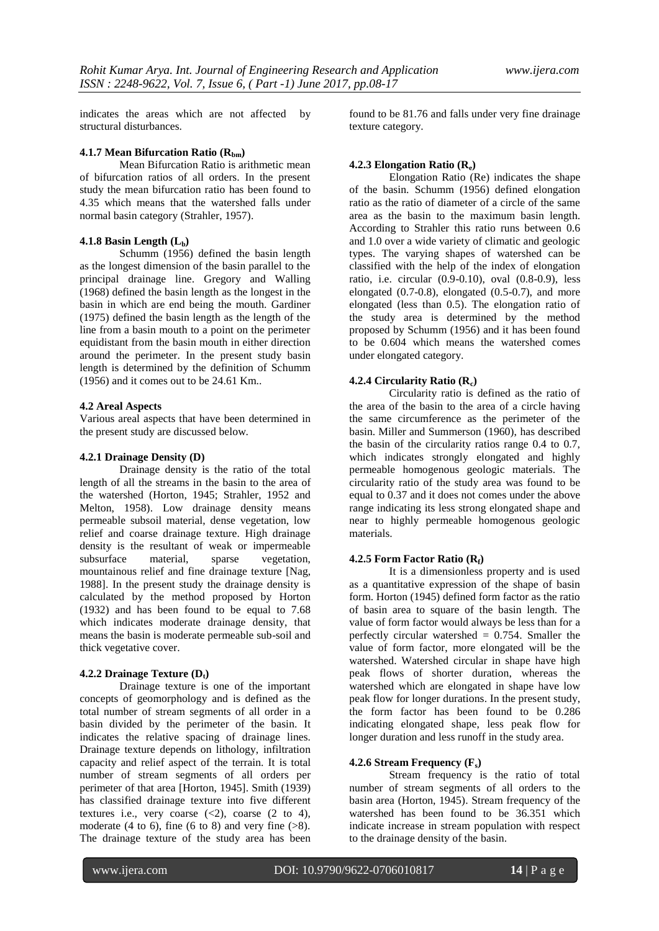indicates the areas which are not affected by structural disturbances.

## **4.1.7 Mean Bifurcation Ratio (Rbm)**

Mean Bifurcation Ratio is arithmetic mean of bifurcation ratios of all orders. In the present study the mean bifurcation ratio has been found to 4.35 which means that the watershed falls under normal basin category (Strahler, 1957).

# **4.1.8 Basin Length (Lb)**

Schumm (1956) defined the basin length as the longest dimension of the basin parallel to the principal drainage line. Gregory and Walling (1968) defined the basin length as the longest in the basin in which are end being the mouth. Gardiner (1975) defined the basin length as the length of the line from a basin mouth to a point on the perimeter equidistant from the basin mouth in either direction around the perimeter. In the present study basin length is determined by the definition of Schumm (1956) and it comes out to be 24.61 Km..

## **4.2 Areal Aspects**

Various areal aspects that have been determined in the present study are discussed below.

#### **4.2.1 Drainage Density (D)**

Drainage density is the ratio of the total length of all the streams in the basin to the area of the watershed (Horton, 1945; Strahler, 1952 and Melton, 1958). Low drainage density means permeable subsoil material, dense vegetation, low relief and coarse drainage texture. High drainage density is the resultant of weak or impermeable subsurface material, sparse vegetation, mountainous relief and fine drainage texture [Nag, 1988]. In the present study the drainage density is calculated by the method proposed by Horton (1932) and has been found to be equal to 7.68 which indicates moderate drainage density, that means the basin is moderate permeable sub-soil and thick vegetative cover.

## **4.2.2 Drainage Texture (Dt)**

Drainage texture is one of the important concepts of geomorphology and is defined as the total number of stream segments of all order in a basin divided by the perimeter of the basin. It indicates the relative spacing of drainage lines. Drainage texture depends on lithology, infiltration capacity and relief aspect of the terrain. It is total number of stream segments of all orders per perimeter of that area [Horton, 1945]. Smith (1939) has classified drainage texture into five different textures i.e., very coarse  $(\leq 2)$ , coarse  $(2 \text{ to } 4)$ , moderate (4 to 6), fine (6 to 8) and very fine  $(>8)$ . The drainage texture of the study area has been

found to be 81.76 and falls under very fine drainage texture category.

#### **4.2.3 Elongation Ratio (Re)**

Elongation Ratio (Re) indicates the shape of the basin. Schumm (1956) defined elongation ratio as the ratio of diameter of a circle of the same area as the basin to the maximum basin length. According to Strahler this ratio runs between 0.6 and 1.0 over a wide variety of climatic and geologic types. The varying shapes of watershed can be classified with the help of the index of elongation ratio, i.e. circular (0.9-0.10), oval (0.8-0.9), less elongated  $(0.7-0.8)$ , elongated  $(0.5-0.7)$ , and more elongated (less than 0.5). The elongation ratio of the study area is determined by the method proposed by Schumm (1956) and it has been found to be 0.604 which means the watershed comes under elongated category.

### **4.2.4 Circularity Ratio (Rc)**

Circularity ratio is defined as the ratio of the area of the basin to the area of a circle having the same circumference as the perimeter of the basin. Miller and Summerson (1960), has described the basin of the circularity ratios range 0.4 to 0.7, which indicates strongly elongated and highly permeable homogenous geologic materials. The circularity ratio of the study area was found to be equal to 0.37 and it does not comes under the above range indicating its less strong elongated shape and near to highly permeable homogenous geologic materials.

# **4.2.5 Form Factor Ratio (Rf)**

It is a dimensionless property and is used as a quantitative expression of the shape of basin form. Horton (1945) defined form factor as the ratio of basin area to square of the basin length. The value of form factor would always be less than for a perfectly circular watershed  $= 0.754$ . Smaller the value of form factor, more elongated will be the watershed. Watershed circular in shape have high peak flows of shorter duration, whereas the watershed which are elongated in shape have low peak flow for longer durations. In the present study, the form factor has been found to be 0.286 indicating elongated shape, less peak flow for longer duration and less runoff in the study area.

#### **4.2.6 Stream Frequency (Fs)**

Stream frequency is the ratio of total number of stream segments of all orders to the basin area (Horton, 1945). Stream frequency of the watershed has been found to be 36.351 which indicate increase in stream population with respect to the drainage density of the basin.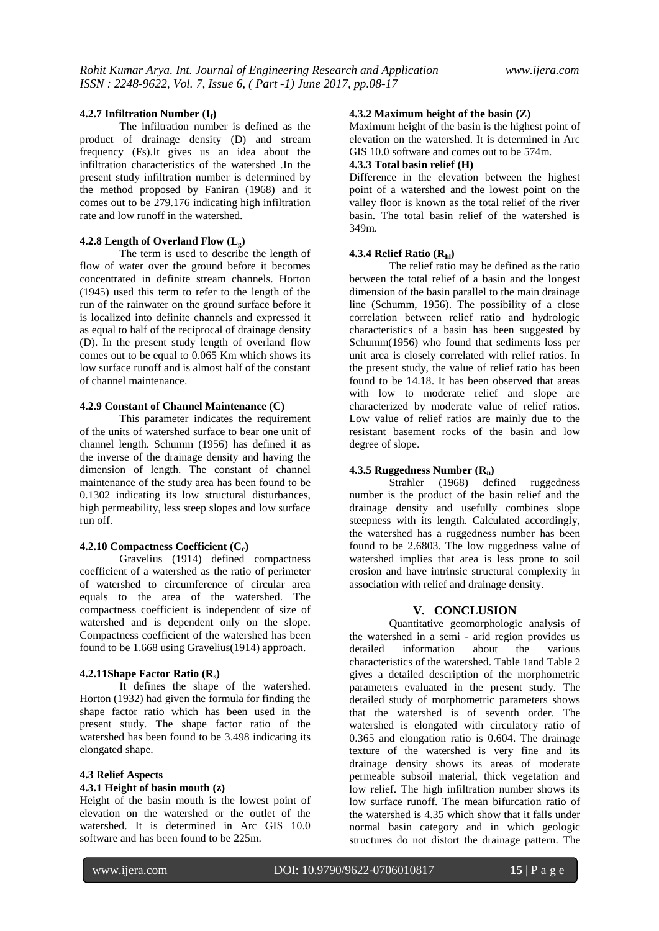## **4.2.7 Infiltration Number (If)**

The infiltration number is defined as the product of drainage density (D) and stream frequency (Fs).It gives us an idea about the infiltration characteristics of the watershed .In the present study infiltration number is determined by the method proposed by Faniran (1968) and it comes out to be 279.176 indicating high infiltration rate and low runoff in the watershed.

## **4.2.8 Length of Overland Flow (Lg)**

The term is used to describe the length of flow of water over the ground before it becomes concentrated in definite stream channels. Horton (1945) used this term to refer to the length of the run of the rainwater on the ground surface before it is localized into definite channels and expressed it as equal to half of the reciprocal of drainage density (D). In the present study length of overland flow comes out to be equal to 0.065 Km which shows its low surface runoff and is almost half of the constant of channel maintenance.

## **4.2.9 Constant of Channel Maintenance (C)**

This parameter indicates the requirement of the units of watershed surface to bear one unit of channel length. Schumm (1956) has defined it as the inverse of the drainage density and having the dimension of length. The constant of channel maintenance of the study area has been found to be 0.1302 indicating its low structural disturbances, high permeability, less steep slopes and low surface run off.

## **4.2.10 Compactness Coefficient (Cc)**

Gravelius (1914) defined compactness coefficient of a watershed as the ratio of perimeter of watershed to circumference of circular area equals to the area of the watershed. The compactness coefficient is independent of size of watershed and is dependent only on the slope. Compactness coefficient of the watershed has been found to be 1.668 using Gravelius(1914) approach.

## **4.2.11Shape Factor Ratio (Rs)**

It defines the shape of the watershed. Horton (1932) had given the formula for finding the shape factor ratio which has been used in the present study. The shape factor ratio of the watershed has been found to be 3.498 indicating its elongated shape.

#### **4.3 Relief Aspects 4.3.1 Height of basin mouth (z)**

# Height of the basin mouth is the lowest point of elevation on the watershed or the outlet of the watershed. It is determined in Arc GIS 10.0 software and has been found to be 225m.

## **4.3.2 Maximum height of the basin (Z)**

Maximum height of the basin is the highest point of elevation on the watershed. It is determined in Arc GIS 10.0 software and comes out to be 574m.

#### **4.3.3 Total basin relief (H)**

Difference in the elevation between the highest point of a watershed and the lowest point on the valley floor is known as the total relief of the river basin. The total basin relief of the watershed is 349m.

## **4.3.4 Relief Ratio (Rhl)**

The relief ratio may be defined as the ratio between the total relief of a basin and the longest dimension of the basin parallel to the main drainage line (Schumm, 1956). The possibility of a close correlation between relief ratio and hydrologic characteristics of a basin has been suggested by Schumm(1956) who found that sediments loss per unit area is closely correlated with relief ratios. In the present study, the value of relief ratio has been found to be 14.18. It has been observed that areas with low to moderate relief and slope are characterized by moderate value of relief ratios. Low value of relief ratios are mainly due to the resistant basement rocks of the basin and low degree of slope.

## **4.3.5 Ruggedness Number (Rn)**

Strahler (1968) defined ruggedness number is the product of the basin relief and the drainage density and usefully combines slope steepness with its length. Calculated accordingly, the watershed has a ruggedness number has been found to be 2.6803. The low ruggedness value of watershed implies that area is less prone to soil erosion and have intrinsic structural complexity in association with relief and drainage density.

# **V. CONCLUSION**

Quantitative geomorphologic analysis of the watershed in a semi - arid region provides us detailed information about the various characteristics of the watershed. Table 1and Table 2 gives a detailed description of the morphometric parameters evaluated in the present study. The detailed study of morphometric parameters shows that the watershed is of seventh order. The watershed is elongated with circulatory ratio of 0.365 and elongation ratio is 0.604. The drainage texture of the watershed is very fine and its drainage density shows its areas of moderate permeable subsoil material, thick vegetation and low relief. The high infiltration number shows its low surface runoff. The mean bifurcation ratio of the watershed is 4.35 which show that it falls under normal basin category and in which geologic structures do not distort the drainage pattern. The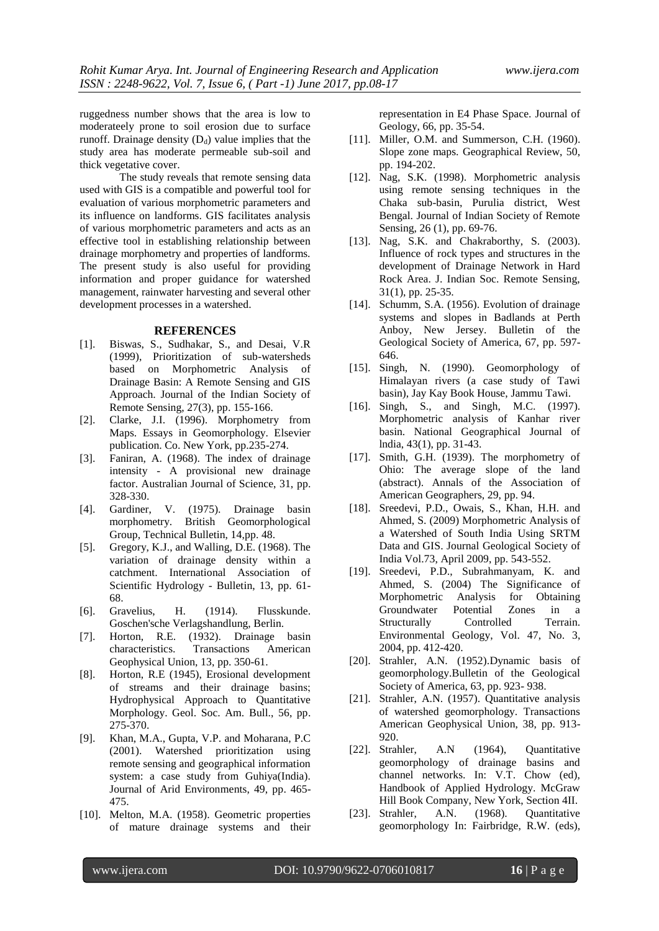ruggedness number shows that the area is low to moderateely prone to soil erosion due to surface runoff. Drainage density  $(D_d)$  value implies that the study area has moderate permeable sub-soil and thick vegetative cover.

The study reveals that remote sensing data used with GIS is a compatible and powerful tool for evaluation of various morphometric parameters and its influence on landforms. GIS facilitates analysis of various morphometric parameters and acts as an effective tool in establishing relationship between drainage morphometry and properties of landforms. The present study is also useful for providing information and proper guidance for watershed management, rainwater harvesting and several other development processes in a watershed.

#### **REFERENCES**

- [1]. Biswas, S., Sudhakar, S., and Desai, V.R (1999), Prioritization of sub-watersheds based on Morphometric Analysis of Drainage Basin: A Remote Sensing and GIS Approach. Journal of the Indian Society of Remote Sensing, 27(3), pp. 155-166.
- [2]. Clarke, J.I. (1996). Morphometry from Maps. Essays in Geomorphology. Elsevier publication. Co. New York, pp.235-274.
- [3]. Faniran, A. (1968). The index of drainage intensity - A provisional new drainage factor. Australian Journal of Science, 31, pp. 328-330.
- [4]. Gardiner, V. (1975). Drainage basin morphometry. British Geomorphological Group, Technical Bulletin, 14,pp. 48.
- [5]. Gregory, K.J., and Walling, D.E. (1968). The variation of drainage density within a catchment. International Association of Scientific Hydrology - Bulletin, 13, pp. 61- 68.
- [6]. Gravelius, H. (1914). Flusskunde. Goschen'sche Verlagshandlung, Berlin.
- [7]. Horton, R.E. (1932). Drainage basin characteristics. Transactions American Geophysical Union, 13, pp. 350-61.
- [8]. Horton, R.E (1945), Erosional development of streams and their drainage basins; Hydrophysical Approach to Quantitative Morphology. Geol. Soc. Am. Bull., 56, pp. 275-370.
- [9]. Khan, M.A., Gupta, V.P. and Moharana, P.C (2001). Watershed prioritization using remote sensing and geographical information system: a case study from Guhiya(India). Journal of Arid Environments, 49, pp. 465- 475.
- [10]. Melton, M.A. (1958). Geometric properties of mature drainage systems and their

representation in E4 Phase Space. Journal of Geology, 66, pp. 35-54.

- [11]. Miller, O.M. and Summerson, C.H. (1960). Slope zone maps. Geographical Review, 50, pp. 194-202.
- [12]. Nag, S.K. (1998). Morphometric analysis using remote sensing techniques in the Chaka sub-basin, Purulia district, West Bengal. Journal of Indian Society of Remote Sensing, 26 (1), pp. 69-76.
- [13]. Nag, S.K. and Chakraborthy, S. (2003). Influence of rock types and structures in the development of Drainage Network in Hard Rock Area. J. Indian Soc. Remote Sensing, 31(1), pp. 25-35.
- [14]. Schumm, S.A. (1956). Evolution of drainage systems and slopes in Badlands at Perth Anboy, New Jersey. Bulletin of the Geological Society of America, 67, pp. 597- 646.
- [15]. Singh, N. (1990). Geomorphology of Himalayan rivers (a case study of Tawi basin), Jay Kay Book House, Jammu Tawi.
- [16]. Singh, S., and Singh, M.C. (1997). Morphometric analysis of Kanhar river basin. National Geographical Journal of lndia, 43(1), pp. 31-43.
- [17]. Smith, G.H. (1939). The morphometry of Ohio: The average slope of the land (abstract). Annals of the Association of American Geographers, 29, pp. 94.
- [18]. Sreedevi, P.D., Owais, S., Khan, H.H. and Ahmed, S. (2009) Morphometric Analysis of a Watershed of South India Using SRTM Data and GIS. Journal Geological Society of India Vol.73, April 2009, pp. 543-552.
- [19]. Sreedevi, P.D., Subrahmanyam, K. and Ahmed, S. (2004) The Significance of Morphometric Analysis for Obtaining Groundwater Potential Zones in a Structurally Controlled Terrain. Environmental Geology, Vol. 47, No. 3, 2004, pp. 412-420.
- [20]. Strahler, A.N. (1952).Dynamic basis of geomorphology.Bulletin of the Geological Society of America, 63, pp. 923- 938.
- [21]. Strahler, A.N. (1957). Quantitative analysis of watershed geomorphology. Transactions American Geophysical Union, 38, pp. 913- 920.
- [22]. Strahler, A.N (1964), Quantitative geomorphology of drainage basins and channel networks. In: V.T. Chow (ed), Handbook of Applied Hydrology. McGraw Hill Book Company, New York, Section 4II.
- [23]. Strahler, A.N. (1968). Quantitative geomorphology In: Fairbridge, R.W. (eds),